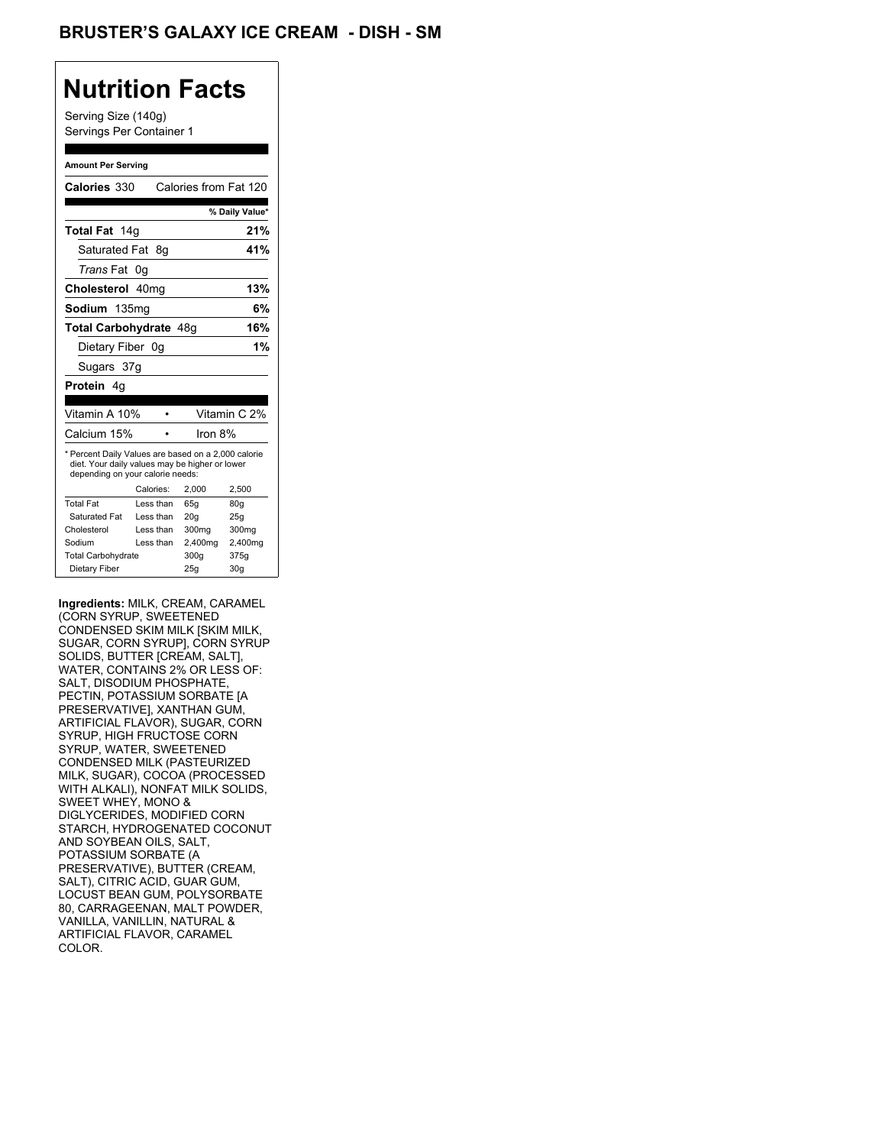## **Nutrition Facts**

Serving Size (140g) Servings Per Container 1

#### **Amount Per Serving**

| Calories 330                                                                                                                              |    |           | Calories from Fat 120 |                 |
|-------------------------------------------------------------------------------------------------------------------------------------------|----|-----------|-----------------------|-----------------|
|                                                                                                                                           |    |           |                       | % Daily Value*  |
| Total Fat 14g                                                                                                                             |    |           |                       | 21%             |
| Saturated Fat 8q                                                                                                                          |    |           |                       | 41%             |
| <i>Trans</i> Fat                                                                                                                          | 0g |           |                       |                 |
| Cholesterol 40mg                                                                                                                          |    |           |                       | 13%             |
| Sodium 135mg                                                                                                                              |    |           |                       | 6%              |
| Total Carbohydrate 48g                                                                                                                    |    |           |                       | 16%             |
| Dietary Fiber 0q                                                                                                                          |    |           |                       | 1%              |
| Sugars 37g                                                                                                                                |    |           |                       |                 |
| <b>Protein</b> 4q                                                                                                                         |    |           |                       |                 |
|                                                                                                                                           |    |           |                       |                 |
| Vitamin A 10%                                                                                                                             |    |           |                       | Vitamin C 2%    |
| Calcium 15%                                                                                                                               |    |           | Iron $8%$             |                 |
| * Percent Daily Values are based on a 2,000 calorie<br>diet. Your daily values may be higher or lower<br>depending on your calorie needs: |    |           |                       |                 |
|                                                                                                                                           |    | Calories: | 2.000                 | 2,500           |
| <b>Total Fat</b>                                                                                                                          |    | Less than | 65q                   | 80q             |
| Saturated Fat                                                                                                                             |    | Less than | 20g                   | 25q             |
| Cholesterol                                                                                                                               |    | Less than | 300mg                 | 300mg           |
| Sodium                                                                                                                                    |    | Less than | 2,400mg               | 2,400mg         |
| <b>Total Carbohydrate</b>                                                                                                                 |    |           | 300g                  | 375g            |
| Dietary Fiber                                                                                                                             |    |           | 25q                   | 30 <sub>q</sub> |

**Ingredients:** MILK, CREAM, CARAMEL (CORN SYRUP, SWEETENED CONDENSED SKIM MILK [SKIM MILK, SUGAR, CORN SYRUP], CORN SYRUP SOLIDS, BUTTER [CREAM, SALT], WATER, CONTAINS 2% OR LESS OF: SALT, DISODIUM PHOSPHATE, PECTIN, POTASSIUM SORBATE [A PRESERVATIVE], XANTHAN GUM, ARTIFICIAL FLAVOR), SUGAR, CORN SYRUP, HIGH FRUCTOSE CORN SYRUP, WATER, SWEETENED CONDENSED MILK (PASTEURIZED MILK, SUGAR), COCOA (PROCESSED WITH ALKALI), NONFAT MILK SOLIDS, SWEET WHEY, MONO & DIGLYCERIDES, MODIFIED CORN STARCH, HYDROGENATED COCONUT AND SOYBEAN OILS, SALT, POTASSIUM SORBATE (A PRESERVATIVE), BUTTER (CREAM, SALT), CITRIC ACID, GUAR GUM, LOCUST BEAN GUM, POLYSORBATE 80, CARRAGEENAN, MALT POWDER, VANILLA, VANILLIN, NATURAL & ARTIFICIAL FLAVOR, CARAMEL COLOR.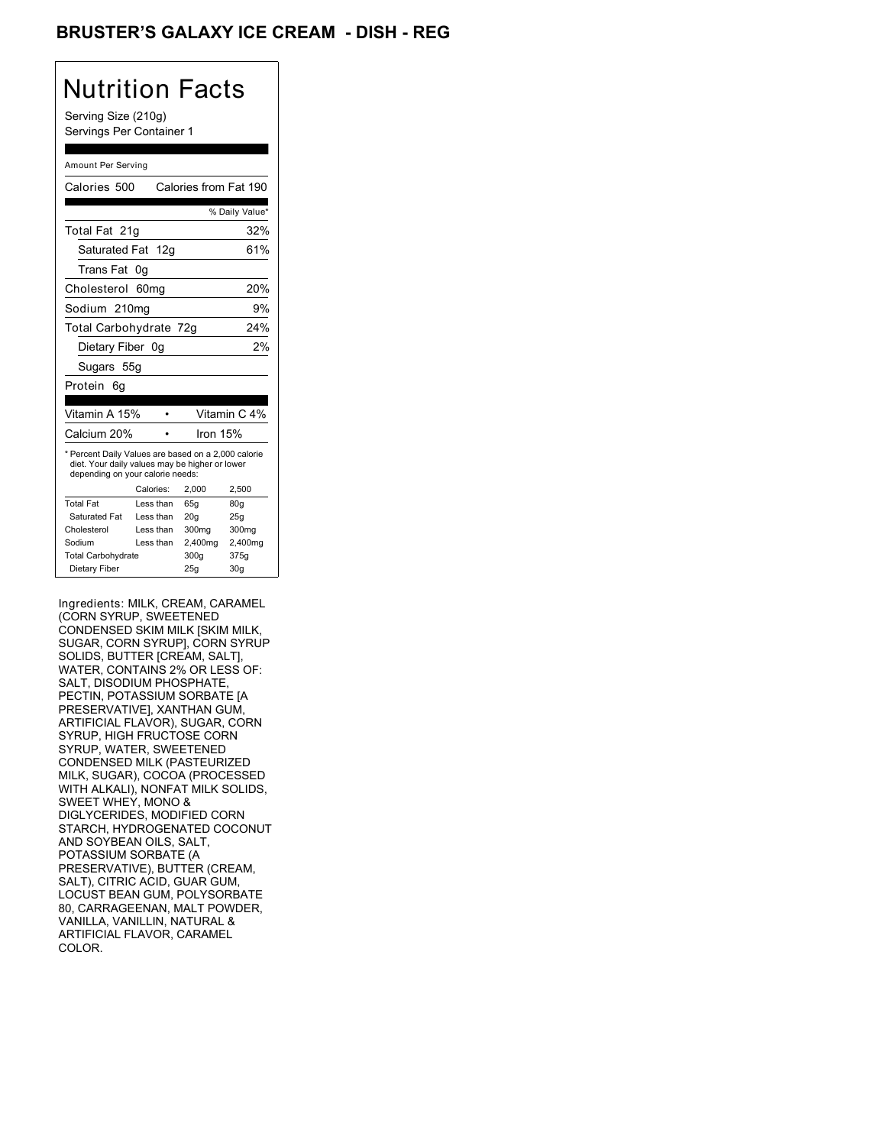## BRUSTER'S GALAXY ICE CREAM - DISH - REG

## Nutrition Facts

Serving Size (210g) Servings Per Container 1

#### Amount Per Serving

| Calories 500                                                                                                                              |                  | Calories from Fat 190 |                          |
|-------------------------------------------------------------------------------------------------------------------------------------------|------------------|-----------------------|--------------------------|
|                                                                                                                                           |                  |                       | % Daily Value*           |
| Total Fat 21q                                                                                                                             |                  |                       | 32%                      |
| Saturated Fat 12g                                                                                                                         |                  |                       | 61%                      |
| Trans Fat                                                                                                                                 | 0g               |                       |                          |
| Cholesterol                                                                                                                               | 60 <sub>mg</sub> |                       | 20%                      |
| Sodium 210mg                                                                                                                              |                  |                       | 9%                       |
| Total Carbohydrate 72g                                                                                                                    |                  |                       | 24%                      |
| Dietary Fiber 0g                                                                                                                          |                  |                       | 2%                       |
| Sugars 55g                                                                                                                                |                  |                       |                          |
| Protein<br>6g                                                                                                                             |                  |                       |                          |
|                                                                                                                                           |                  |                       |                          |
| Vitamin A 15%                                                                                                                             |                  |                       | Vitamin C <sub>4</sub> % |
| Calcium 20%                                                                                                                               |                  | Iron 15%              |                          |
| * Percent Daily Values are based on a 2,000 calorie<br>diet. Your daily values may be higher or lower<br>depending on your calorie needs: |                  |                       |                          |
|                                                                                                                                           | Calories:        | 2.000                 | 2,500                    |
| <b>Total Fat</b>                                                                                                                          | Less than        | 65q                   | 80q                      |
| Saturated Fat                                                                                                                             | Less than        | 20q                   | 25g                      |
| Cholesterol                                                                                                                               | Less than        | 300mg                 | 300mg                    |
| Sodium                                                                                                                                    | Less than        | 2,400mg               | 2,400mg                  |
| <b>Total Carbohydrate</b>                                                                                                                 |                  | 300g                  | 375g                     |
| Dietary Fiber                                                                                                                             |                  | 25q                   | 30q                      |

Ingredients: MILK, CREAM, CARAMEL (CORN SYRUP, SWEETENED CONDENSED SKIM MILK [SKIM MILK, SUGAR, CORN SYRUP], CORN SYRUP SOLIDS, BUTTER [CREAM, SALT], WATER, CONTAINS 2% OR LESS OF: SALT, DISODIUM PHOSPHATE, PECTIN, POTASSIUM SORBATE [A PRESERVATIVE], XANTHAN GUM, ARTIFICIAL FLAVOR), SUGAR, CORN SYRUP, HIGH FRUCTOSE CORN SYRUP, WATER, SWEETENED CONDENSED MILK (PASTEURIZED MILK, SUGAR), COCOA (PROCESSED WITH ALKALI), NONFAT MILK SOLIDS, SWEET WHEY, MONO & DIGLYCERIDES, MODIFIED CORN STARCH, HYDROGENATED COCONUT AND SOYBEAN OILS, SALT, POTASSIUM SORBATE (A PRESERVATIVE), BUTTER (CREAM, SALT), CITRIC ACID, GUAR GUM, LOCUST BEAN GUM, POLYSORBATE 80, CARRAGEENAN, MALT POWDER, VANILLA, VANILLIN, NATURAL & ARTIFICIAL FLAVOR, CARAMEL COLOR.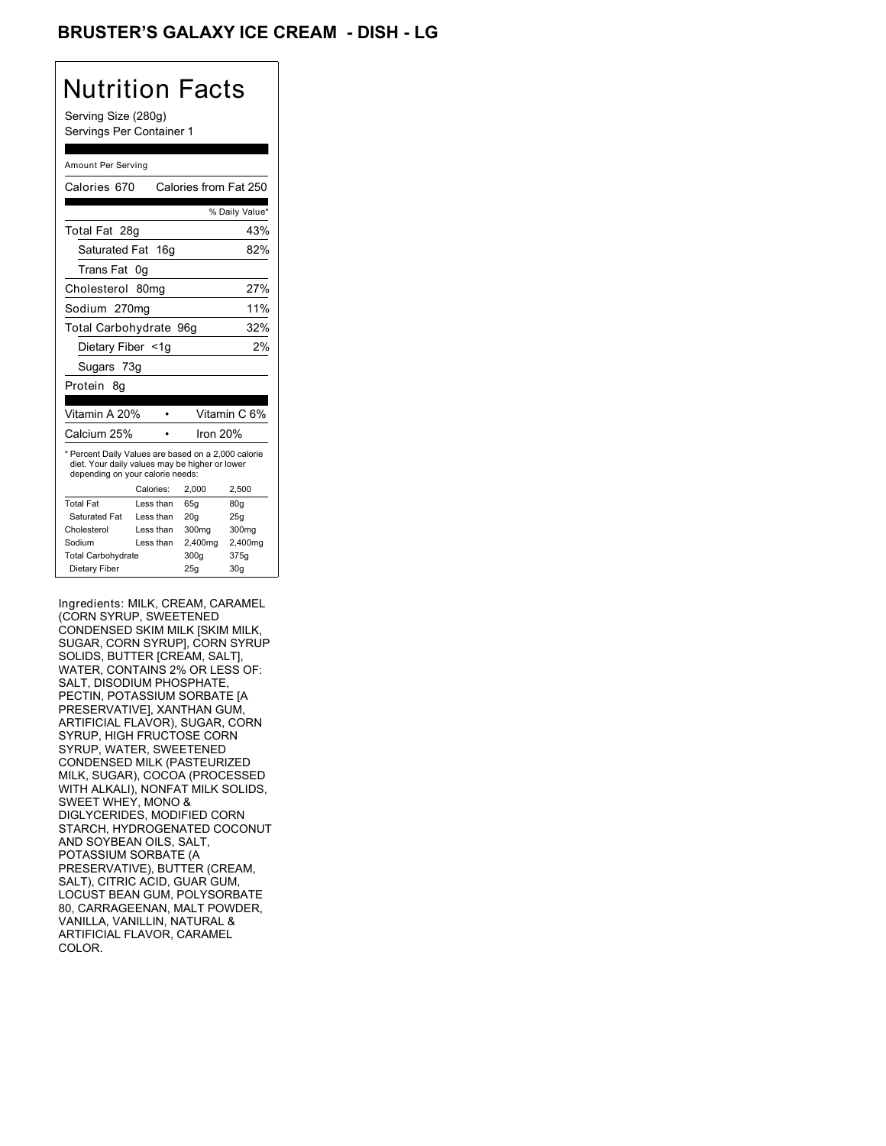### BRUSTER'S GALAXY ICE CREAM - DISH <mark>-</mark> LG

## Nutrition Facts

Serving Size (280g) Servings Per Container 1

#### Amount Per Serving

| Calories 670                                                                                                                              |                  | Calories from Fat 250 |                 |
|-------------------------------------------------------------------------------------------------------------------------------------------|------------------|-----------------------|-----------------|
|                                                                                                                                           |                  |                       | % Daily Value*  |
| Total Fat 28g                                                                                                                             |                  |                       | 43%             |
| Saturated Fat                                                                                                                             | 16 <sub>q</sub>  |                       | 82%             |
| Trans Fat                                                                                                                                 | 0g               |                       |                 |
| Cholesterol                                                                                                                               | 80 <sub>mq</sub> |                       | 27%             |
| Sodium 270mg                                                                                                                              |                  |                       | 11%             |
| Total Carbohydrate 96g                                                                                                                    |                  |                       | 32%             |
| Dietary Fiber <1q                                                                                                                         |                  |                       | 2%              |
| Sugars 73g                                                                                                                                |                  |                       |                 |
| Protein 8q                                                                                                                                |                  |                       |                 |
|                                                                                                                                           |                  |                       |                 |
| Vitamin A 20%                                                                                                                             |                  |                       | Vitamin C 6%    |
| Calcium 25%                                                                                                                               |                  | Iron $20%$            |                 |
| * Percent Daily Values are based on a 2,000 calorie<br>diet. Your daily values may be higher or lower<br>depending on your calorie needs: |                  |                       |                 |
|                                                                                                                                           | Calories:        | 2.000                 | 2,500           |
| <b>Total Fat</b>                                                                                                                          | Less than        | 65q                   | 80q             |
| Saturated Fat                                                                                                                             | Less than        | 20q                   | 25q             |
| Cholesterol                                                                                                                               | Less than        | 300mg                 | 300mg           |
| Sodium                                                                                                                                    | Less than        | 2,400mg               | 2,400mg         |
| <b>Total Carbohydrate</b>                                                                                                                 |                  | 300g                  | 375g            |
| Dietary Fiber                                                                                                                             |                  | 25q                   | 30 <sub>q</sub> |

Ingredients: MILK, CREAM, CARAMEL (CORN SYRUP, SWEETENED CONDENSED SKIM MILK [SKIM MILK, SUGAR, CORN SYRUP], CORN SYRUP SOLIDS, BUTTER [CREAM, SALT], WATER, CONTAINS 2% OR LESS OF: SALT, DISODIUM PHOSPHATE, PECTIN, POTASSIUM SORBATE [A PRESERVATIVE], XANTHAN GUM, ARTIFICIAL FLAVOR), SUGAR, CORN SYRUP, HIGH FRUCTOSE CORN SYRUP, WATER, SWEETENED CONDENSED MILK (PASTEURIZED MILK, SUGAR), COCOA (PROCESSED WITH ALKALI), NONFAT MILK SOLIDS, SWEET WHEY, MONO & DIGLYCERIDES, MODIFIED CORN STARCH, HYDROGENATED COCONUT AND SOYBEAN OILS, SALT, POTASSIUM SORBATE (A PRESERVATIVE), BUTTER (CREAM, SALT), CITRIC ACID, GUAR GUM, LOCUST BEAN GUM, POLYSORBATE 80, CARRAGEENAN, MALT POWDER, VANILLA, VANILLIN, NATURAL & ARTIFICIAL FLAVOR, CARAMEL COLOR.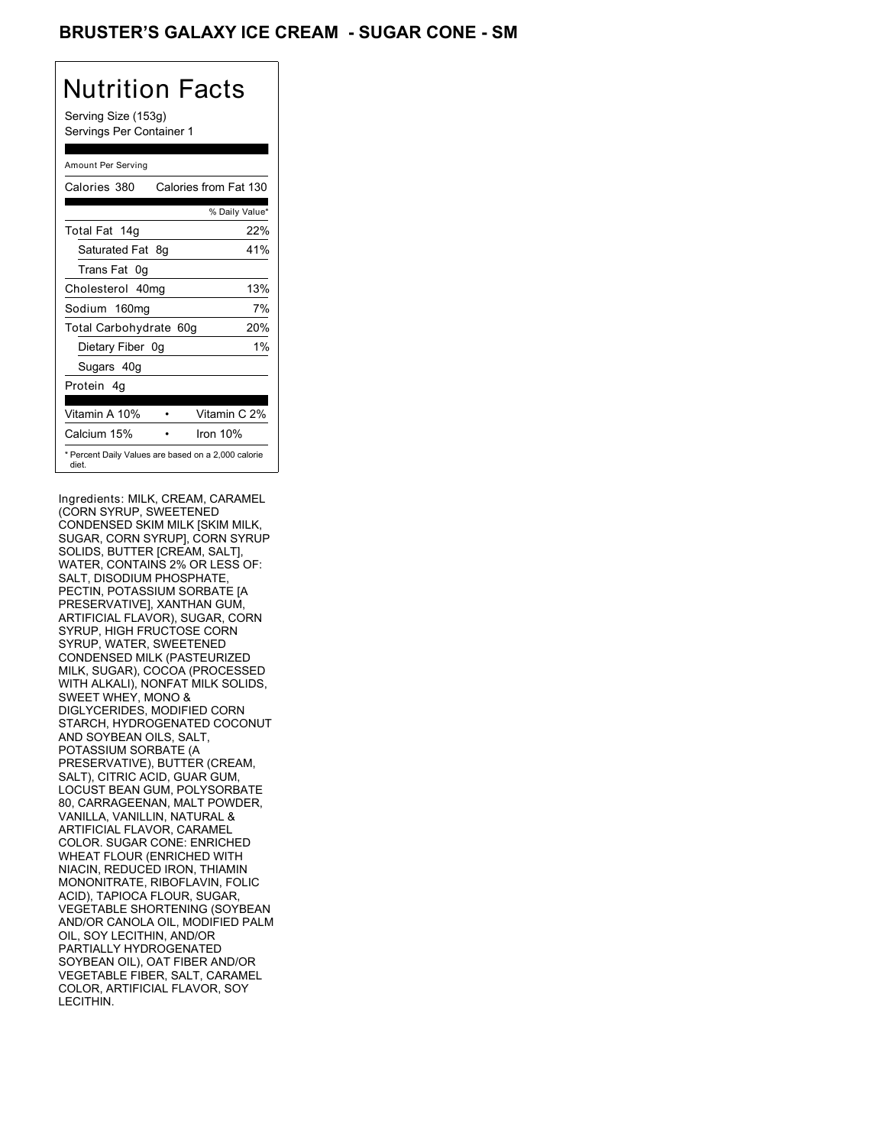## BRUSTER'S GALAXY ICE CREAM - SUGAR CONE - SM

# Nutrition Facts

Serving Size (153g) Servings Per Container 1

#### Amount Per Serving

| Calories 380                                                 | Calories from Fat 130 |                |
|--------------------------------------------------------------|-----------------------|----------------|
|                                                              |                       | % Daily Value* |
| Total Fat 14g                                                |                       | 22%            |
| Saturated Fat 8g                                             |                       | 41%            |
| Trans Fat 0q                                                 |                       |                |
| Cholesterol 40mg                                             |                       | 13%            |
| Sodium 160mg                                                 |                       | 7%             |
| Total Carbohydrate 60g                                       |                       | 20%            |
| Dietary Fiber 0g                                             |                       | $1\%$          |
| Sugars 40g                                                   |                       |                |
| Protein 4q                                                   |                       |                |
| Vitamin A 10%                                                |                       | Vitamin C 2%   |
| Calcium 15%                                                  | Iron 10%              |                |
| * Percent Daily Values are based on a 2,000 calorie<br>diet. |                       |                |

Ingredients: MILK, CREAM, CARAMEL (CORN SYRUP, SWEETENED CONDENSED SKIM MILK [SKIM MILK, SUGAR, CORN SYRUP], CORN SYRUP SOLIDS, BUTTER [CREAM, SALT], WATER, CONTAINS 2% OR LESS OF: SALT, DISODIUM PHOSPHATE, PECTIN, POTASSIUM SORBATE [A PRESERVATIVE], XANTHAN GUM, ARTIFICIAL FLAVOR), SUGAR, CORN SYRUP, HIGH FRUCTOSE CORN SYRUP, WATER, SWEETENED CONDENSED MILK (PASTEURIZED MILK, SUGAR), COCOA (PROCESSED WITH ALKALI), NONFAT MILK SOLIDS, SWEET WHEY, MONO & DIGLYCERIDES, MODIFIED CORN STARCH, HYDROGENATED COCONUT AND SOYBEAN OILS, SALT, POTASSIUM SORBATE (A PRESERVATIVE), BUTTER (CREAM, SALT), CITRIC ACID, GUAR GUM, LOCUST BEAN GUM, POLYSORBATE 80, CARRAGEENAN, MALT POWDER, VANILLA, VANILLIN, NATURAL & ARTIFICIAL FLAVOR, CARAMEL COLOR. SUGAR CONE: ENRICHED WHEAT FLOUR (ENRICHED WITH NIACIN, REDUCED IRON, THIAMIN MONONITRATE, RIBOFLAVIN, FOLIC ACID), TAPIOCA FLOUR, SUGAR, VEGETABLE SHORTENING (SOYBEAN AND/OR CANOLA OIL, MODIFIED PALM OIL, SOY LECITHIN, AND/OR PARTIALLY HYDROGENATED SOYBEAN OIL), OAT FIBER AND/OR VEGETABLE FIBER, SALT, CARAMEL COLOR, ARTIFICIAL FLAVOR, SOY LECITHIN.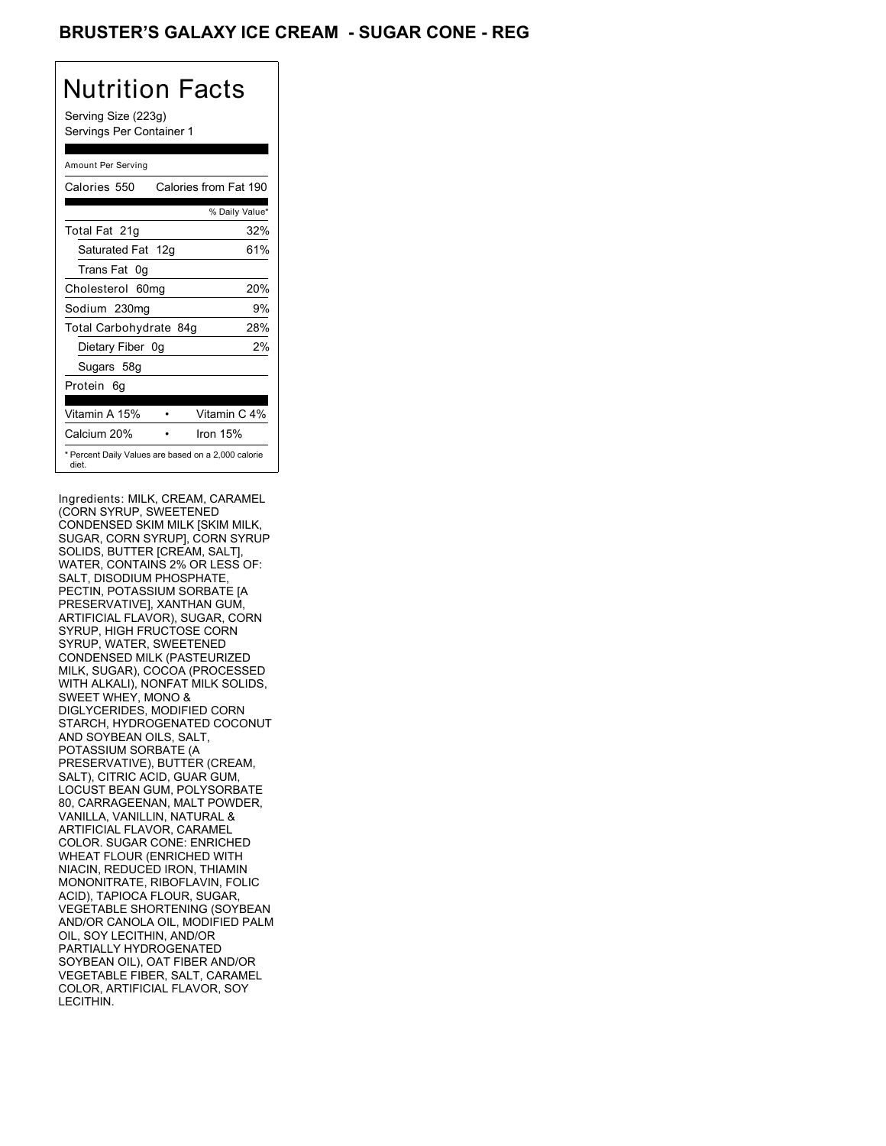## BRUSTER'S GALAXY ICE CREAM - SUGAR CONE - REG

## Nutrition Facts

Serving Size (223g) Servings Per Container 1

#### Amount Per Serving

| Calories 550                                                 | Calories from Fat 190 |
|--------------------------------------------------------------|-----------------------|
|                                                              | % Daily Value*        |
| Total Fat 21g                                                | 32%                   |
| Saturated Fat 12g                                            | 61%                   |
| Trans Fat 0q                                                 |                       |
| Cholesterol 60mg                                             | 20%                   |
| Sodium 230mg                                                 | 9%                    |
| Total Carbohydrate 84g                                       | 28%                   |
| Dietary Fiber 0g                                             | 2%                    |
| Sugars 58g                                                   |                       |
| Protein 6q                                                   |                       |
| Vitamin A 15%                                                | Vitamin C 4%          |
| Calcium 20%                                                  | Iron 15%              |
| * Percent Daily Values are based on a 2,000 calorie<br>diet. |                       |

Ingredients: MILK, CREAM, CARAMEL (CORN SYRUP, SWEETENED CONDENSED SKIM MILK [SKIM MILK, SUGAR, CORN SYRUP], CORN SYRUP SOLIDS, BUTTER [CREAM, SALT], WATER, CONTAINS 2% OR LESS OF: SALT, DISODIUM PHOSPHATE, PECTIN, POTASSIUM SORBATE [A PRESERVATIVE], XANTHAN GUM, ARTIFICIAL FLAVOR), SUGAR, CORN SYRUP, HIGH FRUCTOSE CORN SYRUP, WATER, SWEETENED CONDENSED MILK (PASTEURIZED MILK, SUGAR), COCOA (PROCESSED WITH ALKALI), NONFAT MILK SOLIDS, SWEET WHEY, MONO & DIGLYCERIDES, MODIFIED CORN STARCH, HYDROGENATED COCONUT AND SOYBEAN OILS, SALT, POTASSIUM SORBATE (A PRESERVATIVE), BUTTER (CREAM, SALT), CITRIC ACID, GUAR GUM, LOCUST BEAN GUM, POLYSORBATE 80, CARRAGEENAN, MALT POWDER, VANILLA, VANILLIN, NATURAL & ARTIFICIAL FLAVOR, CARAMEL COLOR. SUGAR CONE: ENRICHED WHEAT FLOUR (ENRICHED WITH NIACIN, REDUCED IRON, THIAMIN MONONITRATE, RIBOFLAVIN, FOLIC ACID), TAPIOCA FLOUR, SUGAR, VEGETABLE SHORTENING (SOYBEAN AND/OR CANOLA OIL, MODIFIED PALM OIL, SOY LECITHIN, AND/OR PARTIALLY HYDROGENATED SOYBEAN OIL), OAT FIBER AND/OR VEGETABLE FIBER, SALT, CARAMEL COLOR, ARTIFICIAL FLAVOR, SOY LECITHIN.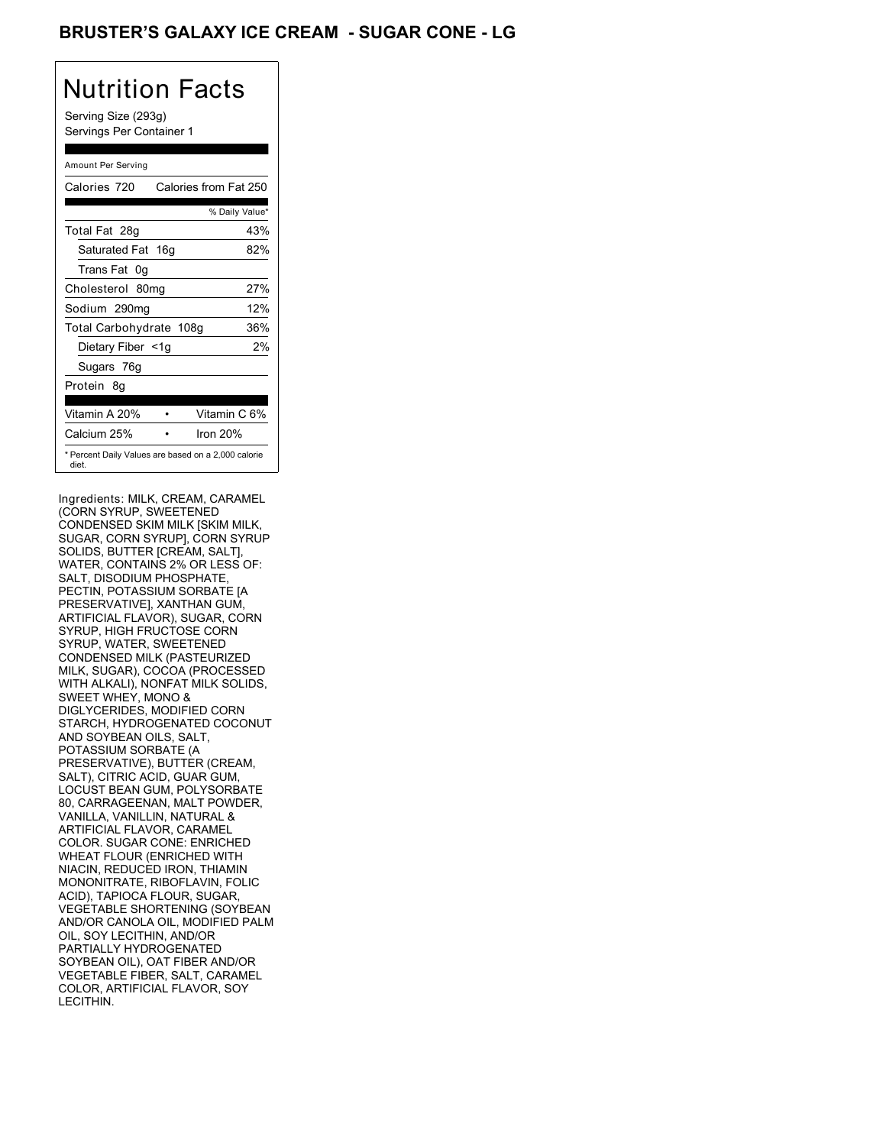## BRUSTER'S GALAXY ICE CREAM - SUGAR CONE - LG

# Nutrition Facts

Serving Size (293g) Servings Per Container 1

#### Amount Per Serving

| Calories 720            | Calories from Fat 250                               |
|-------------------------|-----------------------------------------------------|
|                         | % Daily Value*                                      |
| Total Fat 28g           | 43%                                                 |
| Saturated Fat 16g       | 82%                                                 |
| Trans Fat 0q            |                                                     |
| Cholesterol 80mg        | 27%                                                 |
| Sodium 290mg            | 12%                                                 |
| Total Carbohydrate 108g | 36%                                                 |
| Dietary Fiber <1g       | 2%                                                  |
| Sugars 76g              |                                                     |
| Protein 8q              |                                                     |
| Vitamin A 20%           | Vitamin C 6%                                        |
| Calcium 25%             | Iron 20%                                            |
| diet.                   | * Percent Daily Values are based on a 2,000 calorie |

Ingredients: MILK, CREAM, CARAMEL (CORN SYRUP, SWEETENED CONDENSED SKIM MILK [SKIM MILK, SUGAR, CORN SYRUP], CORN SYRUP SOLIDS, BUTTER [CREAM, SALT], WATER, CONTAINS 2% OR LESS OF: SALT, DISODIUM PHOSPHATE, PECTIN, POTASSIUM SORBATE [A PRESERVATIVE], XANTHAN GUM, ARTIFICIAL FLAVOR), SUGAR, CORN SYRUP, HIGH FRUCTOSE CORN SYRUP, WATER, SWEETENED CONDENSED MILK (PASTEURIZED MILK, SUGAR), COCOA (PROCESSED WITH ALKALI), NONFAT MILK SOLIDS, SWEET WHEY, MONO & DIGLYCERIDES, MODIFIED CORN STARCH, HYDROGENATED COCONUT AND SOYBEAN OILS, SALT, POTASSIUM SORBATE (A PRESERVATIVE), BUTTER (CREAM, SALT), CITRIC ACID, GUAR GUM, LOCUST BEAN GUM, POLYSORBATE 80, CARRAGEENAN, MALT POWDER, VANILLA, VANILLIN, NATURAL & ARTIFICIAL FLAVOR, CARAMEL COLOR. SUGAR CONE: ENRICHED WHEAT FLOUR (ENRICHED WITH NIACIN, REDUCED IRON, THIAMIN MONONITRATE, RIBOFLAVIN, FOLIC ACID), TAPIOCA FLOUR, SUGAR, VEGETABLE SHORTENING (SOYBEAN AND/OR CANOLA OIL, MODIFIED PALM OIL, SOY LECITHIN, AND/OR PARTIALLY HYDROGENATED SOYBEAN OIL), OAT FIBER AND/OR VEGETABLE FIBER, SALT, CARAMEL COLOR, ARTIFICIAL FLAVOR, SOY LECITHIN.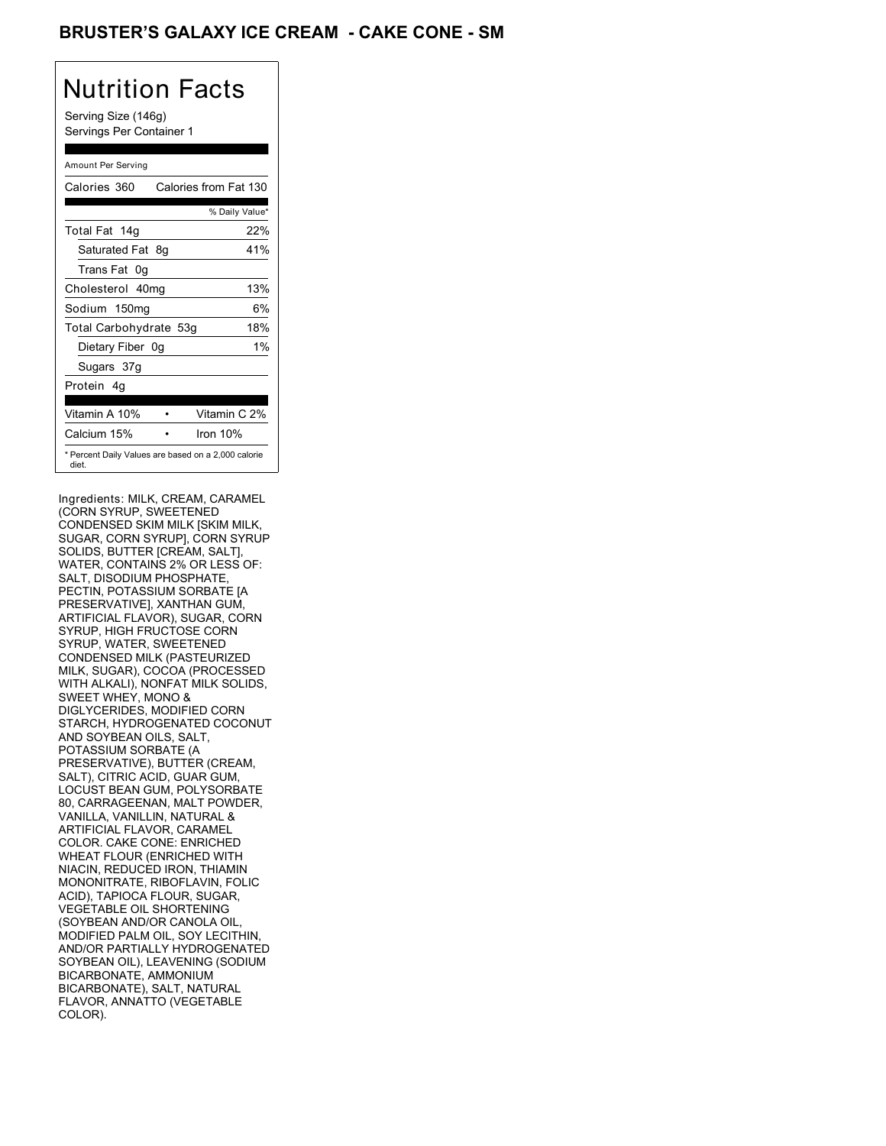## BRUSTER'S GALAXY ICE CREAM **- CAKE CONE - SM**

## Nutrition Facts

Serving Size (146g) Servings Per Container 1

#### Amount Per Serving

| Calories 360           | Calories from Fat 130                               |       |
|------------------------|-----------------------------------------------------|-------|
|                        | % Daily Value*                                      |       |
| Total Fat 14g          | 22%                                                 |       |
| Saturated Fat 8q       | 41%                                                 |       |
| Trans Fat 0q           |                                                     |       |
| Cholesterol 40mg       | 13%                                                 |       |
| Sodium 150mg           |                                                     | 6%    |
| Total Carbohydrate 53g | 18%                                                 |       |
| Dietary Fiber 0g       |                                                     | $1\%$ |
| Sugars 37g             |                                                     |       |
| Protein 4q             |                                                     |       |
| Vitamin A 10%          | Vitamin C 2%                                        |       |
| Calcium 15%            | Iron 10%                                            |       |
| diet.                  | * Percent Daily Values are based on a 2,000 calorie |       |

Ingredients: MILK, CREAM, CARAMEL (CORN SYRUP, SWEETENED CONDENSED SKIM MILK [SKIM MILK, SUGAR, CORN SYRUP], CORN SYRUP SOLIDS, BUTTER [CREAM, SALT], WATER, CONTAINS 2% OR LESS OF: SALT, DISODIUM PHOSPHATE, PECTIN, POTASSIUM SORBATE [A PRESERVATIVE], XANTHAN GUM, ARTIFICIAL FLAVOR), SUGAR, CORN SYRUP, HIGH FRUCTOSE CORN SYRUP, WATER, SWEETENED CONDENSED MILK (PASTEURIZED MILK, SUGAR), COCOA (PROCESSED WITH ALKALI), NONFAT MILK SOLIDS, SWEET WHEY, MONO & DIGLYCERIDES, MODIFIED CORN STARCH, HYDROGENATED COCONUT AND SOYBEAN OILS, SALT, POTASSIUM SORBATE (A PRESERVATIVE), BUTTER (CREAM, SALT), CITRIC ACID, GUAR GUM, LOCUST BEAN GUM, POLYSORBATE 80, CARRAGEENAN, MALT POWDER, VANILLA, VANILLIN, NATURAL & ARTIFICIAL FLAVOR, CARAMEL COLOR. CAKE CONE: ENRICHED WHEAT FLOUR (ENRICHED WITH NIACIN, REDUCED IRON, THIAMIN MONONITRATE, RIBOFLAVIN, FOLIC ACID), TAPIOCA FLOUR, SUGAR, VEGETABLE OIL SHORTENING (SOYBEAN AND/OR CANOLA OIL, MODIFIED PALM OIL, SOY LECITHIN, AND/OR PARTIALLY HYDROGENATED SOYBEAN OIL), LEAVENING (SODIUM BICARBONATE, AMMONIUM BICARBONATE), SALT, NATURAL FLAVOR, ANNATTO (VEGETABLE COLOR).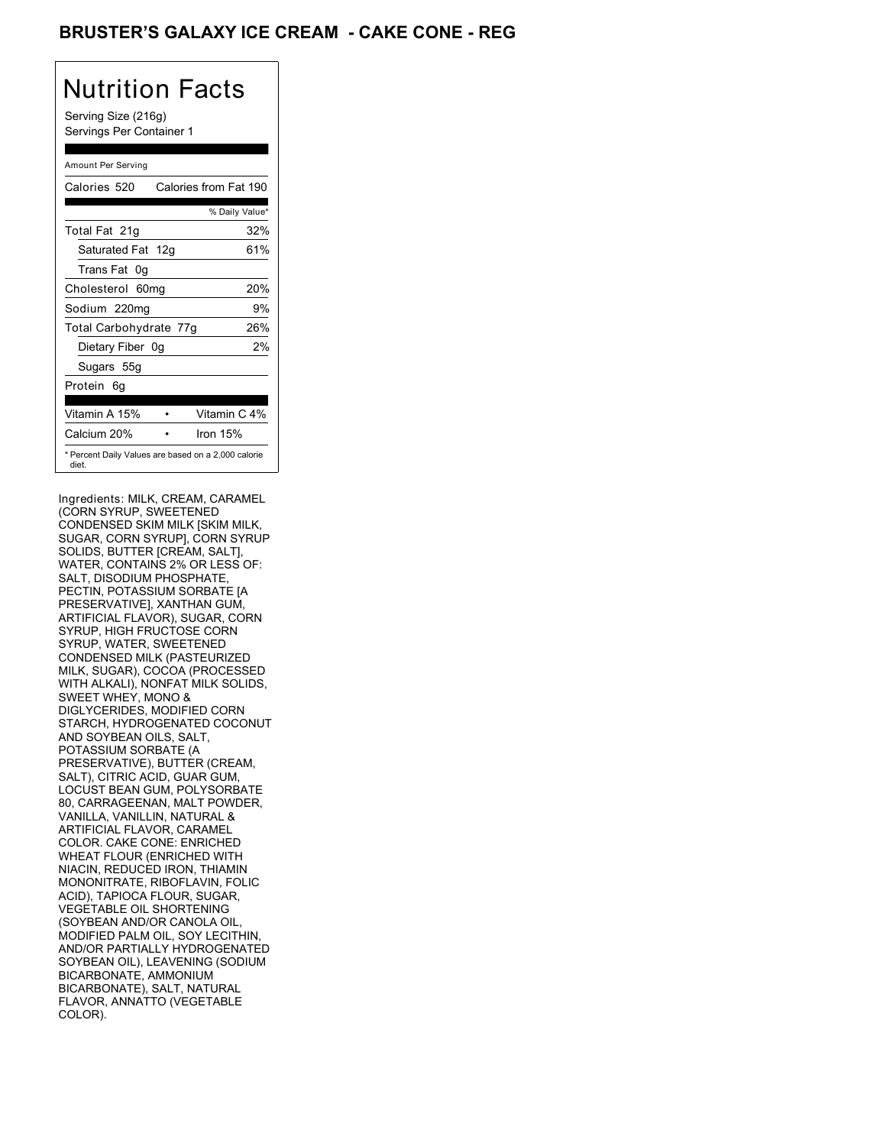## BRUSTER'S GALAXY ICE CREAM **- CAKE CONE - REG**

# Nutrition Facts

Serving Size (216g) Servings Per Container 1

#### Amount Per Serving

| Calories 520                                                 |          | Calories from Fat 190 |
|--------------------------------------------------------------|----------|-----------------------|
|                                                              |          | % Daily Value*        |
| Total Fat 21g                                                |          | 32%                   |
| Saturated Fat 12g                                            |          | 61%                   |
| Trans Fat 0q                                                 |          |                       |
| Cholesterol 60mg                                             |          | 20%                   |
| Sodium 220mg                                                 |          | 9%                    |
| Total Carbohydrate 77g                                       |          | 26%                   |
| Dietary Fiber 0g                                             |          | 2%                    |
| Sugars 55g                                                   |          |                       |
| Protein 6q                                                   |          |                       |
| Vitamin A 15%                                                |          | Vitamin C 4%          |
| Calcium 20%                                                  | Iron 15% |                       |
| * Percent Daily Values are based on a 2,000 calorie<br>diet. |          |                       |

Ingredients: MILK, CREAM, CARAMEL (CORN SYRUP, SWEETENED CONDENSED SKIM MILK [SKIM MILK, SUGAR, CORN SYRUP], CORN SYRUP SOLIDS, BUTTER [CREAM, SALT], WATER, CONTAINS 2% OR LESS OF: SALT, DISODIUM PHOSPHATE, PECTIN, POTASSIUM SORBATE [A PRESERVATIVE], XANTHAN GUM, ARTIFICIAL FLAVOR), SUGAR, CORN SYRUP, HIGH FRUCTOSE CORN SYRUP, WATER, SWEETENED CONDENSED MILK (PASTEURIZED MILK, SUGAR), COCOA (PROCESSED WITH ALKALI), NONFAT MILK SOLIDS, SWEET WHEY, MONO & DIGLYCERIDES, MODIFIED CORN STARCH, HYDROGENATED COCONUT AND SOYBEAN OILS, SALT, POTASSIUM SORBATE (A PRESERVATIVE), BUTTER (CREAM, SALT), CITRIC ACID, GUAR GUM, LOCUST BEAN GUM, POLYSORBATE 80, CARRAGEENAN, MALT POWDER, VANILLA, VANILLIN, NATURAL & ARTIFICIAL FLAVOR, CARAMEL COLOR. CAKE CONE: ENRICHED WHEAT FLOUR (ENRICHED WITH NIACIN, REDUCED IRON, THIAMIN MONONITRATE, RIBOFLAVIN, FOLIC ACID), TAPIOCA FLOUR, SUGAR, VEGETABLE OIL SHORTENING (SOYBEAN AND/OR CANOLA OIL, MODIFIED PALM OIL, SOY LECITHIN, AND/OR PARTIALLY HYDROGENATED SOYBEAN OIL), LEAVENING (SODIUM BICARBONATE, AMMONIUM BICARBONATE), SALT, NATURAL FLAVOR, ANNATTO (VEGETABLE COLOR).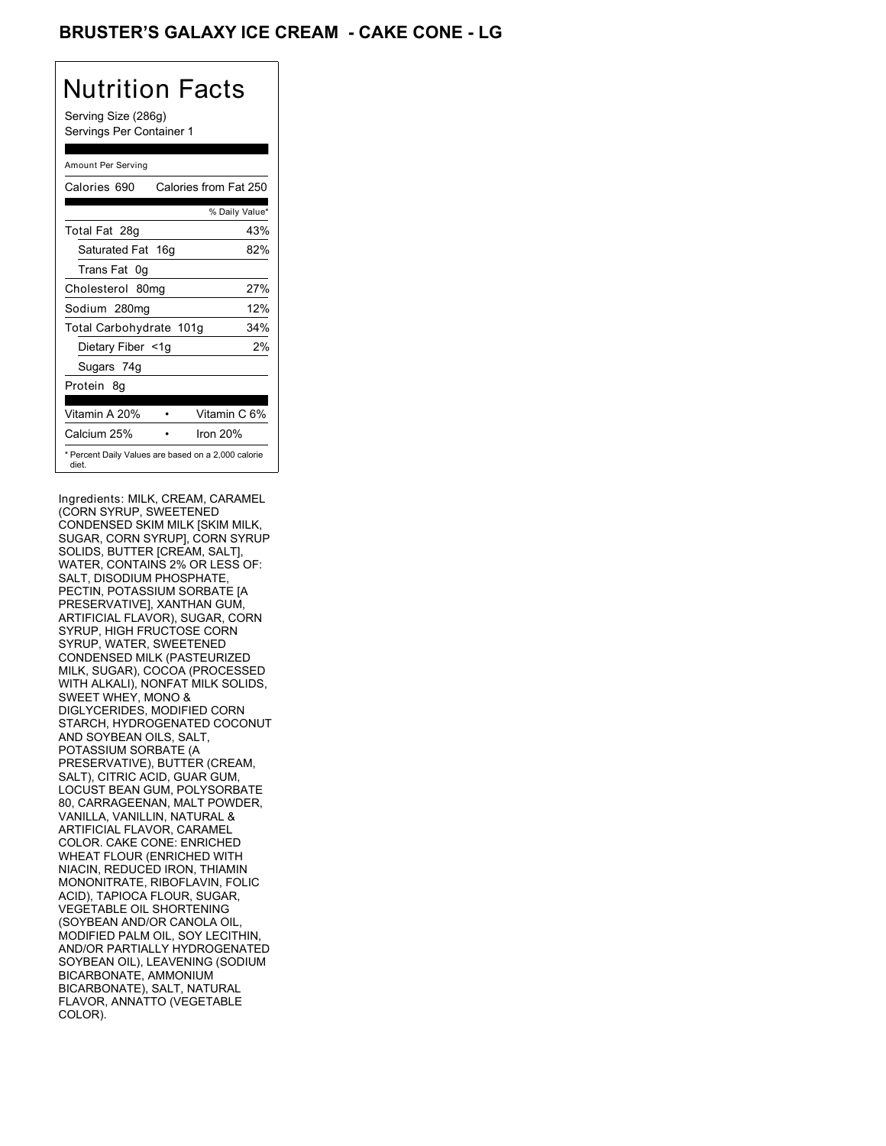## BRUSTER'S GALAXY ICE CREAM **- CAKE CONE - LG**

# Nutrition Facts

Serving Size (286g) Servings Per Container 1

#### Amount Per Serving

| Calories 690            | Calories from Fat 250                               |
|-------------------------|-----------------------------------------------------|
|                         | % Daily Value*                                      |
| Total Fat 28g           | 43%                                                 |
| Saturated Fat 16g       | 82%                                                 |
| Trans Fat 0q            |                                                     |
| Cholesterol 80mg        | 27%                                                 |
| Sodium 280mg            | 12%                                                 |
| Total Carbohydrate 101g | 34%                                                 |
| Dietary Fiber <1g       | 2%                                                  |
| Sugars 74g              |                                                     |
| Protein 8q              |                                                     |
| Vitamin A 20%           | Vitamin C 6%                                        |
| Calcium 25%             | Iron $20%$                                          |
| diet.                   | * Percent Daily Values are based on a 2,000 calorie |

Ingredients: MILK, CREAM, CARAMEL (CORN SYRUP, SWEETENED CONDENSED SKIM MILK [SKIM MILK, SUGAR, CORN SYRUP], CORN SYRUP SOLIDS, BUTTER [CREAM, SALT], WATER, CONTAINS 2% OR LESS OF: SALT, DISODIUM PHOSPHATE, PECTIN, POTASSIUM SORBATE [A PRESERVATIVE], XANTHAN GUM, ARTIFICIAL FLAVOR), SUGAR, CORN SYRUP, HIGH FRUCTOSE CORN SYRUP, WATER, SWEETENED CONDENSED MILK (PASTEURIZED MILK, SUGAR), COCOA (PROCESSED WITH ALKALI), NONFAT MILK SOLIDS, SWEET WHEY, MONO & DIGLYCERIDES, MODIFIED CORN STARCH, HYDROGENATED COCONUT AND SOYBEAN OILS, SALT, POTASSIUM SORBATE (A PRESERVATIVE), BUTTER (CREAM, SALT), CITRIC ACID, GUAR GUM, LOCUST BEAN GUM, POLYSORBATE 80, CARRAGEENAN, MALT POWDER, VANILLA, VANILLIN, NATURAL & ARTIFICIAL FLAVOR, CARAMEL COLOR. CAKE CONE: ENRICHED WHEAT FLOUR (ENRICHED WITH NIACIN, REDUCED IRON, THIAMIN MONONITRATE, RIBOFLAVIN, FOLIC ACID), TAPIOCA FLOUR, SUGAR, VEGETABLE OIL SHORTENING (SOYBEAN AND/OR CANOLA OIL, MODIFIED PALM OIL, SOY LECITHIN, AND/OR PARTIALLY HYDROGENATED SOYBEAN OIL), LEAVENING (SODIUM BICARBONATE, AMMONIUM BICARBONATE), SALT, NATURAL FLAVOR, ANNATTO (VEGETABLE COLOR).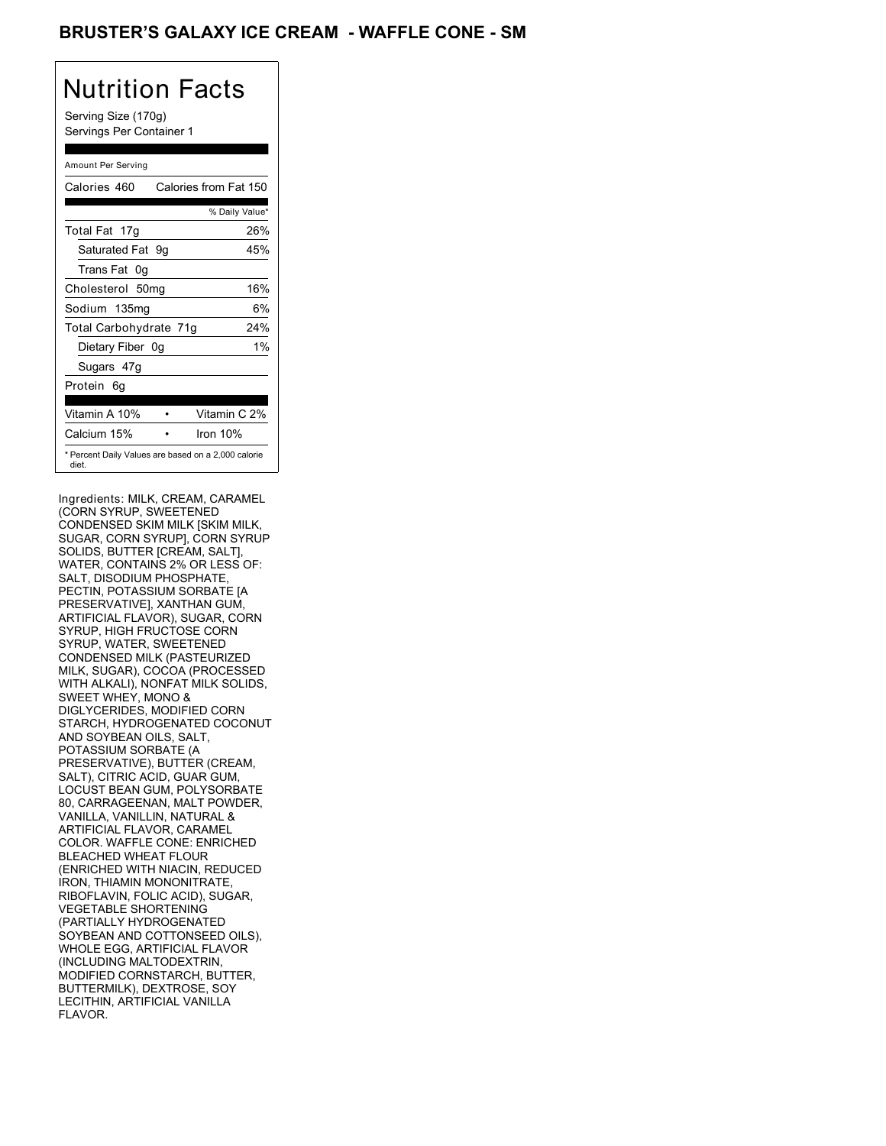## BRUSTER'S GALAXY ICE CREAM - WAFFLE CONE - SM

## Nutrition Facts

Serving Size (170g) Servings Per Container 1

#### Amount Per Serving

| Calories 460                                                 | Calories from Fat 150 |                |
|--------------------------------------------------------------|-----------------------|----------------|
|                                                              |                       | % Daily Value* |
| Total Fat 17g                                                |                       | 26%            |
| Saturated Fat 9q                                             |                       | 45%            |
| Trans Fat 0q                                                 |                       |                |
| Cholesterol 50mg                                             |                       | 16%            |
| Sodium 135mg                                                 |                       | 6%             |
| Total Carbohydrate 71g                                       |                       | 24%            |
| Dietary Fiber 0g                                             |                       | $1\%$          |
| Sugars 47g                                                   |                       |                |
| Protein 6q                                                   |                       |                |
| Vitamin A 10%                                                |                       | Vitamin C 2%   |
| Calcium 15%                                                  | Iron 10%              |                |
| * Percent Daily Values are based on a 2,000 calorie<br>diet. |                       |                |

Ingredients: MILK, CREAM, CARAMEL (CORN SYRUP, SWEETENED CONDENSED SKIM MILK [SKIM MILK, SUGAR, CORN SYRUP], CORN SYRUP SOLIDS, BUTTER [CREAM, SALT], WATER, CONTAINS 2% OR LESS OF: SALT, DISODIUM PHOSPHATE, PECTIN, POTASSIUM SORBATE [A PRESERVATIVE], XANTHAN GUM, ARTIFICIAL FLAVOR), SUGAR, CORN SYRUP, HIGH FRUCTOSE CORN SYRUP, WATER, SWEETENED CONDENSED MILK (PASTEURIZED MILK, SUGAR), COCOA (PROCESSED WITH ALKALI), NONFAT MILK SOLIDS, SWEET WHEY, MONO & DIGLYCERIDES, MODIFIED CORN STARCH, HYDROGENATED COCONUT AND SOYBEAN OILS, SALT, POTASSIUM SORBATE (A PRESERVATIVE), BUTTER (CREAM, SALT), CITRIC ACID, GUAR GUM, LOCUST BEAN GUM, POLYSORBATE 80, CARRAGEENAN, MALT POWDER, VANILLA, VANILLIN, NATURAL & ARTIFICIAL FLAVOR, CARAMEL COLOR. WAFFLE CONE: ENRICHED BLEACHED WHEAT FLOUR (ENRICHED WITH NIACIN, REDUCED IRON, THIAMIN MONONITRATE, RIBOFLAVIN, FOLIC ACID), SUGAR, VEGETABLE SHORTENING (PARTIALLY HYDROGENATED SOYBEAN AND COTTONSEED OILS), WHOLE EGG, ARTIFICIAL FLAVOR (INCLUDING MALTODEXTRIN, MODIFIED CORNSTARCH, BUTTER, BUTTERMILK), DEXTROSE, SOY LECITHIN, ARTIFICIAL VANILLA FLAVOR.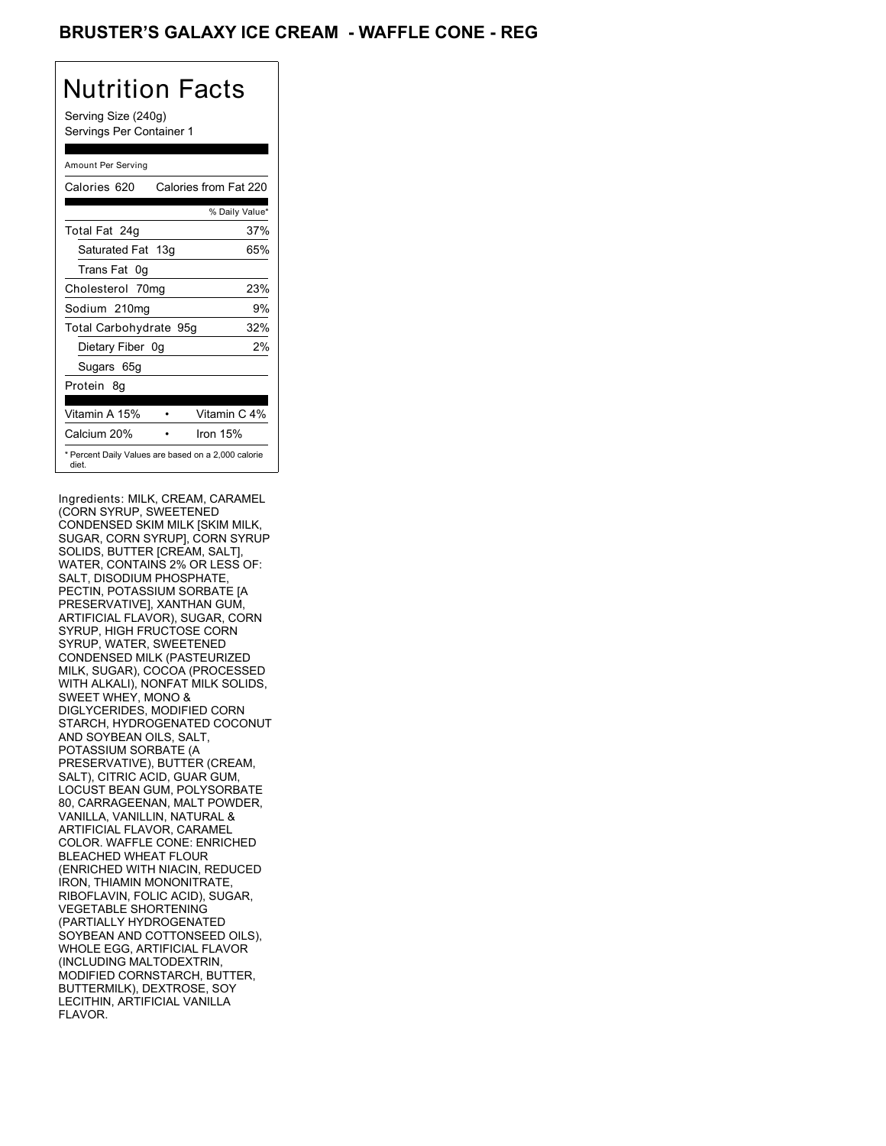## BRUSTER'S GALAXY ICE CREAM - WAFFLE CONE - REG

# Nutrition Facts

Serving Size (240g) Servings Per Container 1

#### Amount Per Serving

| Calories 620                                                 | Calories from Fat 220 |
|--------------------------------------------------------------|-----------------------|
|                                                              | % Daily Value*        |
| Total Fat 24g                                                | 37%                   |
| Saturated Fat 13g                                            | 65%                   |
| Trans Fat 0q                                                 |                       |
| Cholesterol 70mg                                             | 23%                   |
| Sodium 210mg                                                 | 9%                    |
| Total Carbohydrate 95g                                       | 32%                   |
| Dietary Fiber 0g                                             | 2%                    |
| Sugars 65g                                                   |                       |
| Protein 8q                                                   |                       |
| Vitamin A 15%                                                | Vitamin C 4%          |
| Calcium 20%                                                  | Iron $15%$            |
| * Percent Daily Values are based on a 2,000 calorie<br>diet. |                       |

Ingredients: MILK, CREAM, CARAMEL (CORN SYRUP, SWEETENED CONDENSED SKIM MILK [SKIM MILK, SUGAR, CORN SYRUP], CORN SYRUP SOLIDS, BUTTER [CREAM, SALT], WATER, CONTAINS 2% OR LESS OF: SALT, DISODIUM PHOSPHATE, PECTIN, POTASSIUM SORBATE [A PRESERVATIVE], XANTHAN GUM, ARTIFICIAL FLAVOR), SUGAR, CORN SYRUP, HIGH FRUCTOSE CORN SYRUP, WATER, SWEETENED CONDENSED MILK (PASTEURIZED MILK, SUGAR), COCOA (PROCESSED WITH ALKALI), NONFAT MILK SOLIDS, SWEET WHEY, MONO & DIGLYCERIDES, MODIFIED CORN STARCH, HYDROGENATED COCONUT AND SOYBEAN OILS, SALT, POTASSIUM SORBATE (A PRESERVATIVE), BUTTER (CREAM, SALT), CITRIC ACID, GUAR GUM, LOCUST BEAN GUM, POLYSORBATE 80, CARRAGEENAN, MALT POWDER, VANILLA, VANILLIN, NATURAL & ARTIFICIAL FLAVOR, CARAMEL COLOR. WAFFLE CONE: ENRICHED BLEACHED WHEAT FLOUR (ENRICHED WITH NIACIN, REDUCED IRON, THIAMIN MONONITRATE, RIBOFLAVIN, FOLIC ACID), SUGAR, VEGETABLE SHORTENING (PARTIALLY HYDROGENATED SOYBEAN AND COTTONSEED OILS), WHOLE EGG, ARTIFICIAL FLAVOR (INCLUDING MALTODEXTRIN, MODIFIED CORNSTARCH, BUTTER, BUTTERMILK), DEXTROSE, SOY LECITHIN, ARTIFICIAL VANILLA FLAVOR.